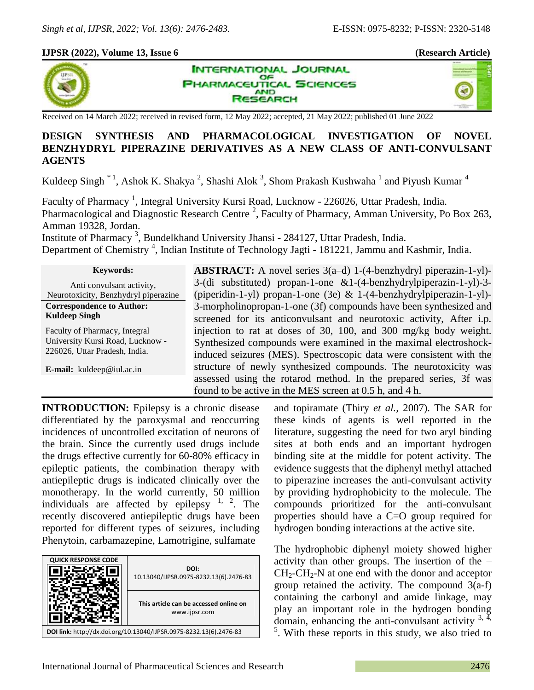#### **IJPSR (2022), Volume 13, Issue 6 (Research Article)**





**INTERNATIONAL JOURNAL** OF **PHARMACEUTICAL SCIENCES AND SEARCH** 

Received on 14 March 2022; received in revised form, 12 May 2022; accepted, 21 May 2022; published 01 June 2022

## **DESIGN SYNTHESIS AND PHARMACOLOGICAL INVESTIGATION OF NOVEL BENZHYDRYL PIPERAZINE DERIVATIVES AS A NEW CLASS OF ANTI-CONVULSANT AGENTS**

Kuldeep Singh  $^*$ <sup>1</sup>, Ashok K. Shakya<sup>2</sup>, Shashi Alok<sup>3</sup>, Shom Prakash Kushwaha<sup>1</sup> and Piyush Kumar<sup>4</sup>

Faculty of Pharmacy<sup>1</sup>, Integral University Kursi Road, Lucknow - 226026, Uttar Pradesh, India. Pharmacological and Diagnostic Research Centre<sup>2</sup>, Faculty of Pharmacy, Amman University, Po Box 263, Amman 19328, Jordan.

Institute of Pharmacy<sup>3</sup>, Bundelkhand University Jhansi - 284127, Uttar Pradesh, India.

Department of Chemistry<sup>4</sup>, Indian Institute of Technology Jagti - 181221, Jammu and Kashmir, India.

| <b>Keywords:</b>                                                             |  |  |  |  |  |
|------------------------------------------------------------------------------|--|--|--|--|--|
| Anti convulsant activity,                                                    |  |  |  |  |  |
| Neurotoxicity, Benzhydryl piperazine                                         |  |  |  |  |  |
| <b>Correspondence to Author:</b>                                             |  |  |  |  |  |
| <b>Kuldeep Singh</b>                                                         |  |  |  |  |  |
| $\mathbf{E} \cdot \mathbf{E} = \mathbf{E} \cdot \mathbf{E} \cdot \mathbf{E}$ |  |  |  |  |  |

Faculty of Pharmacy, Integral University Kursi Road, Lucknow - 226026, Uttar Pradesh, India.

**E-mail:** kuldeep@iul.ac.in

**ABSTRACT:** A novel series 3(a–d) 1-(4-benzhydryl piperazin-1-yl)- 3-(di substituted) propan-1-one &1-(4-benzhydrylpiperazin-1-yl)-3- (piperidin-1-yl) propan-1-one (3e) & 1-(4-benzhydrylpiperazin-1-yl)- 3-morpholinopropan-1-one (3f) compounds have been synthesized and screened for its anticonvulsant and neurotoxic activity, After i.p. injection to rat at doses of 30, 100, and 300 mg/kg body weight. Synthesized compounds were examined in the maximal electroshockinduced seizures (MES). Spectroscopic data were consistent with the structure of newly synthesized compounds. The neurotoxicity was assessed using the rotarod method. In the prepared series, 3f was found to be active in the MES screen at 0.5 h, and 4 h.

**INTRODUCTION:** Epilepsy is a chronic disease differentiated by the paroxysmal and reoccurring incidences of uncontrolled excitation of neurons of the brain. Since the currently used drugs include the drugs effective currently for 60-80% efficacy in epileptic patients, the combination therapy with antiepileptic drugs is indicated clinically over the monotherapy. In the world currently, 50 million individuals are affected by epilepsy  $1, 2$ . The recently discovered antiepileptic drugs have been reported for different types of seizures, including Phenytoin, carbamazepine, Lamotrigine, sulfamate



and topiramate (Thiry *et al.,* 2007). The SAR for these kinds of agents is well reported in the literature, suggesting the need for two aryl binding sites at both ends and an important hydrogen binding site at the middle for potent activity. The evidence suggests that the diphenyl methyl attached to piperazine increases the anti-convulsant activity by providing hydrophobicity to the molecule. The compounds prioritized for the anti-convulsant properties should have a C=O group required for hydrogen bonding interactions at the active site.

The hydrophobic diphenyl moiety showed higher activity than other groups. The insertion of the –  $CH_2-CH_2-N$  at one end with the donor and acceptor group retained the activity. The compound  $3(a-f)$ containing the carbonyl and amide linkage, may play an important role in the hydrogen bonding domain, enhancing the anti-convulsant activity  $3, 4$ , <sup>5</sup>. With these reports in this study, we also tried to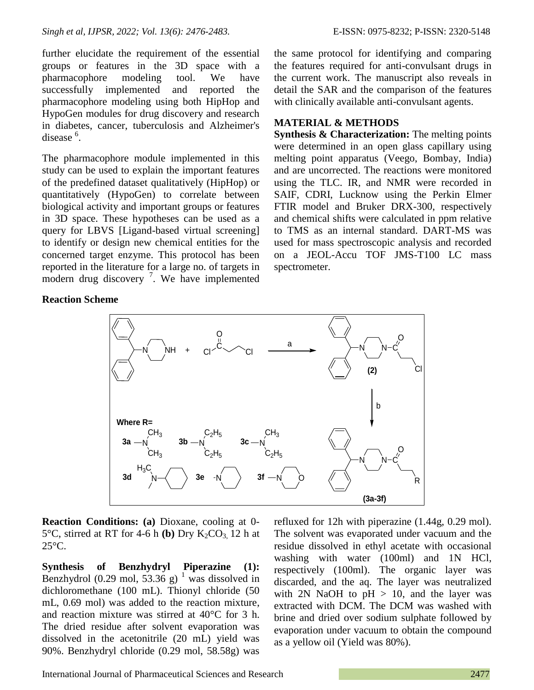further elucidate the requirement of the essential groups or features in the 3D space with a pharmacophore modeling tool. We have successfully implemented and reported the pharmacophore modeling using both HipHop and HypoGen modules for drug discovery and research in diabetes, cancer, tuberculosis and Alzheimer's disease<sup>6</sup>.

The pharmacophore module implemented in this study can be used to explain the important features of the predefined dataset qualitatively (HipHop) or quantitatively (HypoGen) to correlate between biological activity and important groups or features in 3D space. These hypotheses can be used as a query for LBVS [Ligand-based virtual screening] to identify or design new chemical entities for the concerned target enzyme. This protocol has been reported in the literature for a large no. of targets in modern drug discovery<sup>7</sup>. We have implemented

#### **Reaction Scheme**

the same protocol for identifying and comparing the features required for anti-convulsant drugs in the current work. The manuscript also reveals in detail the SAR and the comparison of the features with clinically available anti-convulsant agents.

#### **MATERIAL & METHODS**

**Synthesis & Characterization:** The melting points were determined in an open glass capillary using melting point apparatus (Veego, Bombay, India) and are uncorrected. The reactions were monitored using the TLC. IR, and NMR were recorded in SAIF, CDRI, Lucknow using the Perkin Elmer FTIR model and Bruker DRX-300, respectively and chemical shifts were calculated in ppm relative to TMS as an internal standard. DART-MS was used for mass spectroscopic analysis and recorded on a JEOL-Accu TOF JMS-T100 LC mass spectrometer.



**Reaction Conditions:** (a) Dioxane, cooling at 0-5 $\degree$ C, stirred at RT for 4-6 h **(b)** Dry K<sub>2</sub>CO<sub>3</sub>, 12 h at 25°C.

**Synthesis of Benzhydryl Piperazine (1):** Benzhydrol (0.29 mol, 53.36 g) <sup>1</sup> was dissolved in dichloromethane (100 mL). Thionyl chloride (50 mL, 0.69 mol) was added to the reaction mixture, and reaction mixture was stirred at 40°C for 3 h. The dried residue after solvent evaporation was dissolved in the acetonitrile (20 mL) yield was 90%. Benzhydryl chloride (0.29 mol, 58.58g) was

refluxed for 12h with piperazine (1.44g, 0.29 mol). The solvent was evaporated under vacuum and the residue dissolved in ethyl acetate with occasional washing with water (100ml) and 1N HCl, respectively (100ml). The organic layer was discarded, and the aq. The layer was neutralized with 2N NaOH to  $pH > 10$ , and the layer was extracted with DCM. The DCM was washed with brine and dried over sodium sulphate followed by evaporation under vacuum to obtain the compound as a yellow oil (Yield was 80%).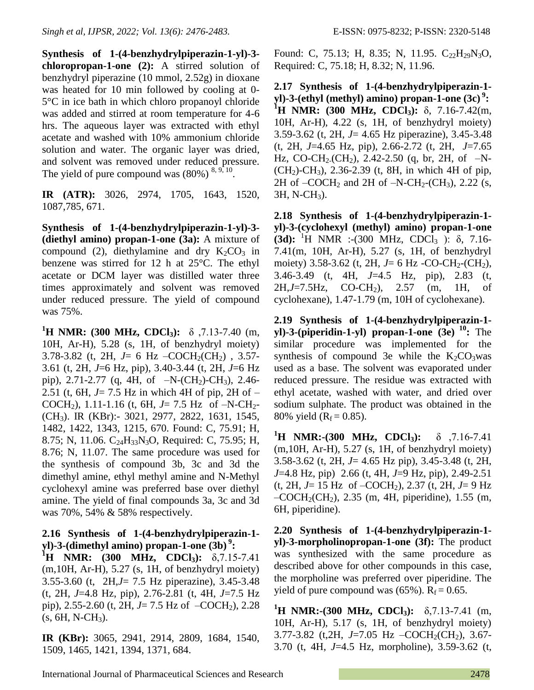**Synthesis of 1-(4-benzhydrylpiperazin-1-yl)-3 chloropropan-1-one (2):** A stirred solution of benzhydryl piperazine (10 mmol, 2.52g) in dioxane was heated for 10 min followed by cooling at 0- 5°C in ice bath in which chloro propanoyl chloride was added and stirred at room temperature for 4-6 hrs. The aqueous layer was extracted with ethyl acetate and washed with 10% ammonium chloride solution and water. The organic layer was dried, and solvent was removed under reduced pressure. The yield of pure compound was  $(80\%)$ <sup>8, 9, 10</sup>.

**IR (ATR):** 3026, 2974, 1705, 1643, 1520, 1087,785, 671.

**Synthesis of 1-(4-benzhydrylpiperazin-1-yl)-3- (diethyl amino) propan-1-one (3a):** A mixture of compound (2), diethylamine and dry  $K_2CO_3$  in benzene was stirred for 12 h at 25°C. The ethyl acetate or DCM layer was distilled water three times approximately and solvent was removed under reduced pressure. The yield of compound was 75%.

**<sup>1</sup>H NMR: (300 MHz, CDCl3):** δ ,7.13-7.40 (m, 10H, Ar-H), 5.28 (s, 1H, of benzhydryl moiety) 3.78-3.82 (t, 2H, *J*= 6 Hz –COCH<sub>2</sub>(CH<sub>2</sub>), 3.57-3.61 (t, 2H, *J*=6 Hz, pip), 3.40-3.44 (t, 2H, *J*=6 Hz pip), 2.71-2.77 (q, 4H, of  $-N-(CH_2)-CH_3)$ , 2.46-2.51 (t, 6H, *J*= 7.5 Hz in which 4H of pip, 2H of – COCH<sub>2</sub>), 1.11-1.16 (t, 6H,  $J=7.5$  Hz of  $-N-CH_2$ -(CH3). IR (KBr):- 3021, 2977, 2822, 1631, 1545, 1482, 1422, 1343, 1215, 670. Found: C, 75.91; H, 8.75; N, 11.06. C<sub>24</sub>H<sub>33</sub>N<sub>3</sub>O, Required: C, 75.95; H, 8.76; N, 11.07. The same procedure was used for the synthesis of compound 3b, 3c and 3d the dimethyl amine, ethyl methyl amine and N-Methyl cyclohexyl amine was preferred base over diethyl amine. The yield of final compounds 3a, 3c and 3d was 70%, 54% & 58% respectively.

## **2.16 Synthesis of 1-(4-benzhydrylpiperazin-1 yl)-3-(dimethyl amino) propan-1-one (3b) <sup>9</sup> :**

**<sup>1</sup>H NMR: (300 MHz, CDCl3):** δ,7.15-7.41 (m,10H, Ar-H), 5.27 (s, 1H, of benzhydryl moiety) 3.55-3.60 (t, 2H,*J*= 7.5 Hz piperazine), 3.45-3.48 (t, 2H, *J*=4.8 Hz, pip), 2.76-2.81 (t, 4H, *J*=7.5 Hz pip), 2.55-2.60 (t, 2H,  $J=7.5$  Hz of  $-COCH<sub>2</sub>$ ), 2.28  $(s, 6H, N-CH<sub>3</sub>)$ .

**IR (KBr):** 3065, 2941, 2914, 2809, 1684, 1540, 1509, 1465, 1421, 1394, 1371, 684.

Found: C, 75.13; H, 8.35; N, 11.95.  $C_2,H_{29}N_3O$ , Required: C, 75.18; H, 8.32; N, 11.96.

**2.17 Synthesis of 1-(4-benzhydrylpiperazin-1 yl)-3-(ethyl (methyl) amino) propan-1-one (3c) <sup>9</sup> : <sup>1</sup>H NMR: (300 MHz, CDCl3):** δ, 7.16-7.42(m, 10H, Ar-H), 4.22 (s, 1H, of benzhydryl moiety) 3.59-3.62 (t, 2H, *J*= 4.65 Hz piperazine), 3.45-3.48 (t, 2H, *J*=4.65 Hz, pip), 2.66-2.72 (t, 2H, *J*=7.65 Hz, CO-CH<sub>2</sub>.(CH<sub>2</sub>), 2.42-2.50 (q, br, 2H, of  $-N$ - $(CH<sub>2</sub>)$ -CH<sub>3</sub>), 2.36-2.39 (t, 8H, in which 4H of pip, 2H of  $-COCH_2$  and 2H of  $-N-CH_2$ -(CH<sub>3</sub>), 2.22 (s,  $3H, N-CH<sub>3</sub>$ ).

**2.18 Synthesis of 1-(4-benzhydrylpiperazin-1 yl)-3-(cyclohexyl (methyl) amino) propan-1-one (3d):** <sup>1</sup>H NMR :-(300 MHz, CDCl<sub>3</sub>): δ, 7.16-7.41(m, 10H, Ar-H), 5.27 (s, 1H, of benzhydryl moiety) 3.58-3.62 (t, 2H,  $J=6$  Hz -CO-CH<sub>2</sub>-(CH<sub>2</sub>), 3.46-3.49 (t, 4H, *J*=4.5 Hz, pip), 2.83 (t, 2H,*J*=7.5Hz, CO-CH2), 2.57 (m, 1H, of cyclohexane), 1.47-1.79 (m, 10H of cyclohexane).

**2.19 Synthesis of 1-(4-benzhydrylpiperazin-1 yl)-3-(piperidin-1-yl) propan-1-one (3e) <sup>10</sup> :** The similar procedure was implemented for the synthesis of compound 3e while the  $K_2CO_3$  was used as a base. The solvent was evaporated under reduced pressure. The residue was extracted with ethyl acetate, washed with water, and dried over sodium sulphate. The product was obtained in the 80% yield ( $R_f = 0.85$ ).

**<sup>1</sup>H NMR:-(300 MHz, CDCl3):** δ ,7.16-7.41 (m,10H, Ar-H), 5.27 (s, 1H, of benzhydryl moiety) 3.58-3.62 (t, 2H, *J*= 4.65 Hz pip), 3.45-3.48 (t, 2H, *J*=4.8 Hz, pip) 2.66 (t, 4H, *J*=9 Hz, pip), 2.49-2.51 (t, 2H, *J*= 15 Hz of –COCH<sub>2</sub>), 2.37 (t, 2H, *J*= 9 Hz  $-COCH<sub>2</sub>(CH<sub>2</sub>), 2.35$  (m, 4H, piperidine), 1.55 (m, 6H, piperidine).

**2.20 Synthesis of 1-(4-benzhydrylpiperazin-1 yl)-3-morpholinopropan-1-one (3f):** The product was synthesized with the same procedure as described above for other compounds in this case, the morpholine was preferred over piperidine. The yield of pure compound was  $(65\%)$ . R<sub>f</sub> = 0.65.

**<sup>1</sup>H NMR:-(300 MHz, CDCl3):** δ,7.13-7.41 (m, 10H, Ar-H), 5.17 (s, 1H, of benzhydryl moiety) 3.77-3.82 (t,2H, J=7.05 Hz –COCH<sub>2</sub>(CH<sub>2</sub>), 3.67-3.70 (t, 4H, *J*=4.5 Hz, morpholine), 3.59-3.62 (t,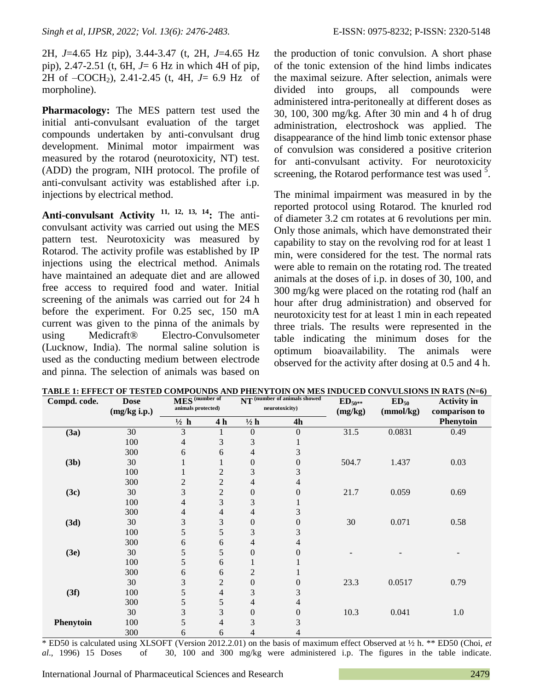2H, *J*=4.65 Hz pip), 3.44-3.47 (t, 2H, *J*=4.65 Hz pip), 2.47-2.51 (t, 6H, *J*= 6 Hz in which 4H of pip, 2H of –COCH2), 2.41-2.45 (t, 4H, *J*= 6.9 Hz of morpholine).

**Pharmacology:** The MES pattern test used the initial anti-convulsant evaluation of the target compounds undertaken by anti-convulsant drug development. Minimal motor impairment was measured by the rotarod (neurotoxicity, NT) test. (ADD) the program, NIH protocol. The profile of anti-convulsant activity was established after i.p. injections by electrical method.

**Anti-convulsant Activity 11, 12, 13, 14:** The anticonvulsant activity was carried out using the MES pattern test. Neurotoxicity was measured by Rotarod. The activity profile was established by IP injections using the electrical method. Animals have maintained an adequate diet and are allowed free access to required food and water. Initial screening of the animals was carried out for 24 h before the experiment. For 0.25 sec, 150 mA current was given to the pinna of the animals by using Medicraft® Electro-Convulsometer (Lucknow, India). The normal saline solution is used as the conducting medium between electrode and pinna. The selection of animals was based on the production of tonic convulsion. A short phase of the tonic extension of the hind limbs indicates the maximal seizure. After selection, animals were divided into groups, all compounds were administered intra-peritoneally at different doses as 30, 100, 300 mg/kg. After 30 min and 4 h of drug administration, electroshock was applied. The disappearance of the hind limb tonic extensor phase of convulsion was considered a positive criterion for anti-convulsant activity. For neurotoxicity screening, the Rotarod performance test was used  $5$ .

The minimal impairment was measured in by the reported protocol using Rotarod. The knurled rod of diameter 3.2 cm rotates at 6 revolutions per min. Only those animals, which have demonstrated their capability to stay on the revolving rod for at least 1 min, were considered for the test. The normal rats were able to remain on the rotating rod. The treated animals at the doses of i.p. in doses of 30, 100, and 300 mg/kg were placed on the rotating rod (half an hour after drug administration) and observed for neurotoxicity test for at least 1 min in each repeated three trials. The results were represented in the table indicating the minimum doses for the optimum bioavailability. The animals were observed for the activity after dosing at 0.5 and 4 h.

| Compd. code.     | <b>Dose</b>  | MES <sup>(number of</sup> |                | NT (number of animals showed |                  | $ED_{50**}$ | $ED_{50}$ | <b>Activity</b> in |
|------------------|--------------|---------------------------|----------------|------------------------------|------------------|-------------|-----------|--------------------|
|                  | (mg/kg i.p.) | animals protected)        |                | neurotoxicity)               |                  | (mg/kg)     | (mmol/kg) | comparison to      |
|                  |              | $\frac{1}{2}$ h           | 4 <sub>h</sub> | $\frac{1}{2}h$               | 4h               |             |           | Phenytoin          |
| (3a)             | 30           | 3                         |                | $\boldsymbol{0}$             | $\boldsymbol{0}$ | 31.5        | 0.0831    | 0.49               |
|                  | 100          | 4                         | 3              | 3                            |                  |             |           |                    |
|                  | 300          | 6                         | 6              | 4                            | 3                |             |           |                    |
| (3b)             | 30           |                           |                | $\boldsymbol{0}$             | $\boldsymbol{0}$ | 504.7       | 1.437     | 0.03               |
|                  | 100          |                           | $\overline{c}$ | 3                            | 3                |             |           |                    |
|                  | 300          | $\overline{c}$            | $\overline{c}$ | 4                            | 4                |             |           |                    |
| (3c)             | 30           | 3                         | $\overline{c}$ | $\boldsymbol{0}$             | $\boldsymbol{0}$ | 21.7        | 0.059     | 0.69               |
|                  | 100          | 4                         | 3              | 3                            | $\mathbf 1$      |             |           |                    |
|                  | 300          | 4                         | 4              | 4                            | 3                |             |           |                    |
| (3d)             | 30           | 3                         | 3              | $\boldsymbol{0}$             | $\boldsymbol{0}$ | 30          | 0.071     | 0.58               |
|                  | 100          | 5                         | 5              | 3                            | 3                |             |           |                    |
|                  | 300          | 6                         | 6              | 4                            | 4                |             |           |                    |
| (3e)             | 30           | 5                         | 5              | $\boldsymbol{0}$             | 0                |             |           |                    |
|                  | 100          | 5                         | 6              |                              |                  |             |           |                    |
|                  | 300          | 6                         | 6              | $\mathbf{2}$                 |                  |             |           |                    |
|                  | 30           | 3                         | $\mathbf{2}$   | $\boldsymbol{0}$             | $\boldsymbol{0}$ | 23.3        | 0.0517    | 0.79               |
| (3f)             | 100          | 5                         | 4              | 3                            | 3                |             |           |                    |
|                  | 300          | 5                         | 5              | 4                            | 4                |             |           |                    |
|                  | 30           | 3                         | 3              | $\boldsymbol{0}$             | $\boldsymbol{0}$ | 10.3        | 0.041     | 1.0                |
| <b>Phenytoin</b> | 100          | 5                         | 4              | 3                            | 3                |             |           |                    |
|                  | 300          | 6                         | 6              | 4                            | 4                |             |           |                    |

**TABLE 1: EFFECT OF TESTED COMPOUNDS AND PHENYTOIN ON MES INDUCED CONVULSIONS IN RATS (N=6)**

\* ED50 is calculated using XLSOFT (Version 2012.2.01) on the basis of maximum effect Observed at ½ h. \*\* ED50 (Choi, *et al*., 1996) 15 Doses of 30, 100 and 300 mg/kg were administered i.p. The figures in the table indicate.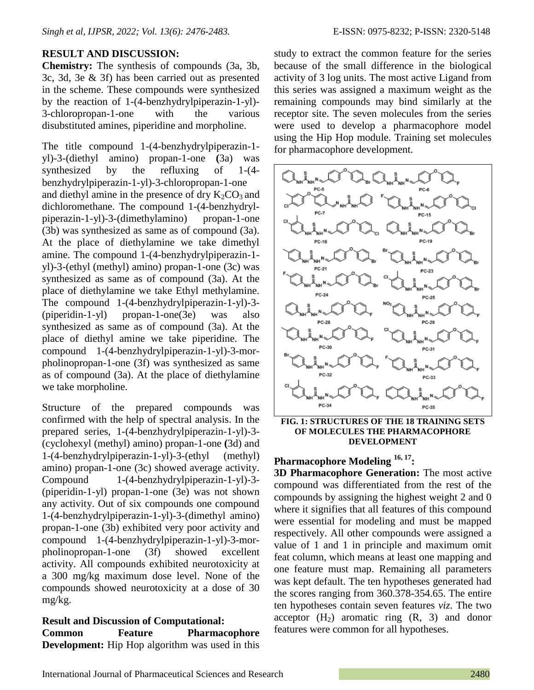#### **RESULT AND DISCUSSION:**

**Chemistry:** The synthesis of compounds (3a, 3b, 3c, 3d, 3e & 3f) has been carried out as presented in the scheme. These compounds were synthesized by the reaction of 1-(4-benzhydrylpiperazin-1-yl)- 3-chloropropan-1-one with the various disubstituted amines, piperidine and morpholine.

The title compound 1-(4-benzhydrylpiperazin-1 yl)-3-(diethyl amino) propan-1-one **(**3a) was synthesized by the refluxing of 1-(4 benzhydrylpiperazin-1-yl)-3-chloropropan-1-one and diethyl amine in the presence of dry  $K_2CO_3$  and dichloromethane. The compound 1-(4-benzhydrylpiperazin-1-yl)-3-(dimethylamino) propan-1-one (3b) was synthesized as same as of compound (3a). At the place of diethylamine we take dimethyl amine. The compound 1-(4-benzhydrylpiperazin-1 yl)-3-(ethyl (methyl) amino) propan-1-one (3c) was synthesized as same as of compound (3a). At the place of diethylamine we take Ethyl methylamine. The compound 1-(4-benzhydrylpiperazin-1-yl)-3- (piperidin-1-yl) propan-1-one(3e) was also synthesized as same as of compound (3a). At the place of diethyl amine we take piperidine. The compound 1-(4-benzhydrylpiperazin-1-yl)-3-morpholinopropan-1-one (3f) was synthesized as same as of compound (3a). At the place of diethylamine we take morpholine.

Structure of the prepared compounds was confirmed with the help of spectral analysis. In the prepared series, 1-(4-benzhydrylpiperazin-1-yl)-3- (cyclohexyl (methyl) amino) propan-1-one **(**3d) and 1-(4-benzhydrylpiperazin-1-yl)-3-(ethyl (methyl) amino) propan-1-one (3c) showed average activity. Compound 1-(4-benzhydrylpiperazin-1-yl)-3- (piperidin-1-yl) propan-1-one (3e) was not shown any activity. Out of six compounds one compound 1-(4-benzhydrylpiperazin-1-yl)-3-(dimethyl amino) propan-1-one (3b) exhibited very poor activity and compound 1-(4-benzhydrylpiperazin-1-yl)-3-morpholinopropan-1-one (3f) showed excellent activity. All compounds exhibited neurotoxicity at a 300 mg/kg maximum dose level. None of the compounds showed neurotoxicity at a dose of 30 mg/kg.

**Result and Discussion of Computational: Common Feature Pharmacophore Development:** Hip Hop algorithm was used in this study to extract the common feature for the series because of the small difference in the biological activity of 3 log units. The most active Ligand from this series was assigned a maximum weight as the remaining compounds may bind similarly at the receptor site. The seven molecules from the series were used to develop a pharmacophore model using the Hip Hop module. Training set molecules for pharmacophore development.



**FIG. 1: STRUCTURES OF THE 18 TRAINING SETS OF MOLECULES THE PHARMACOPHORE DEVELOPMENT**

# **Pharmacophore Modeling 16, 17:**

**3D Pharmacophore Generation:** The most active compound was differentiated from the rest of the compounds by assigning the highest weight 2 and 0 where it signifies that all features of this compound were essential for modeling and must be mapped respectively. All other compounds were assigned a value of 1 and 1 in principle and maximum omit feat column, which means at least one mapping and one feature must map. Remaining all parameters was kept default. The ten hypotheses generated had the scores ranging from 360.378-354.65. The entire ten hypotheses contain seven features *viz*. The two acceptor  $(H_2)$  aromatic ring  $(R, 3)$  and donor features were common for all hypotheses.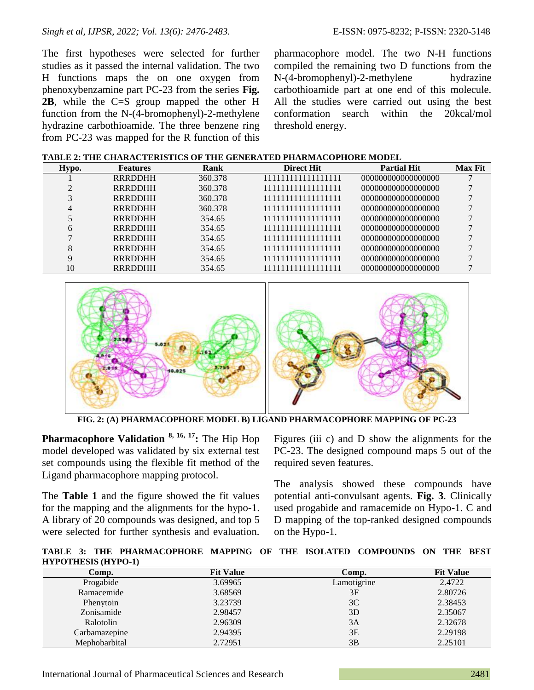The first hypotheses were selected for further studies as it passed the internal validation. The two H functions maps the on one oxygen from phenoxybenzamine part PC-23 from the series **Fig. 2B**, while the C=S group mapped the other H function from the N-(4-bromophenyl)-2-methylene hydrazine carbothioamide. The three benzene ring from PC-23 was mapped for the R function of this pharmacophore model. The two N-H functions compiled the remaining two D functions from the N-(4-bromophenyl)-2-methylene hydrazine carbothioamide part at one end of this molecule. All the studies were carried out using the best conformation search within the 20kcal/mol threshold energy.

| Hypo.         | <b>Features</b> | Rank    | <b>Direct Hit</b>  | <b>Partial Hit</b> | <b>Max Fit</b> |
|---------------|-----------------|---------|--------------------|--------------------|----------------|
|               | <b>RRRDDHH</b>  | 360.378 | 11111111111111111  | 000000000000000000 |                |
| $\mathcal{D}$ | <b>RRRDDHH</b>  | 360.378 | 111111111111111111 | 000000000000000000 |                |
|               | <b>RRRDDHH</b>  | 360.378 | 11111111111111111  | 000000000000000000 |                |
| 4             | <b>RRRDDHH</b>  | 360.378 | 11111111111111111  | 000000000000000000 |                |
|               | <b>RRRDDHH</b>  | 354.65  | 11111111111111111  | 000000000000000000 |                |
| 6             | <b>RRRDDHH</b>  | 354.65  | 11111111111111111  | 000000000000000000 |                |
|               | <b>RRRDDHH</b>  | 354.65  | 11111111111111111  | 000000000000000000 |                |
| 8             | <b>RRRDDHH</b>  | 354.65  | 111111111111111111 | 000000000000000000 |                |
| $\mathbf Q$   | <b>RRRDDHH</b>  | 354.65  | 111111111111111111 | 000000000000000000 |                |
| 10            | <b>RRRDDHH</b>  | 354.65  | 11111111111111111  | 000000000000000000 |                |



**FIG. 2: (A) PHARMACOPHORE MODEL B) LIGAND PHARMACOPHORE MAPPING OF PC-23**

**Pharmacophore Validation 8, 16, 17:** The Hip Hop model developed was validated by six external test set compounds using the flexible fit method of the Ligand pharmacophore mapping protocol.

The **Table 1** and the figure showed the fit values for the mapping and the alignments for the hypo-1. A library of 20 compounds was designed, and top 5 were selected for further synthesis and evaluation.

Figures (iii c) and D show the alignments for the PC-23. The designed compound maps 5 out of the required seven features.

The analysis showed these compounds have potential anti-convulsant agents. **Fig. 3**. Clinically used progabide and ramacemide on Hypo-1. C and D mapping of the top-ranked designed compounds on the Hypo-1.

**TABLE 3: THE PHARMACOPHORE MAPPING OF THE ISOLATED COMPOUNDS ON THE BEST HYPOTHESIS (HYPO-1)**

| Comp.         | <b>Fit Value</b> | Comp.       | <b>Fit Value</b> |
|---------------|------------------|-------------|------------------|
| Progabide     | 3.69965          | Lamotigrine | 2.4722           |
| Ramacemide    | 3.68569          | 3F          | 2.80726          |
| Phenytoin     | 3.23739          | 3C          | 2.38453          |
| Zonisamide    | 2.98457          | 3D          | 2.35067          |
| Ralotolin     | 2.96309          | 3A          | 2.32678          |
| Carbamazepine | 2.94395          | 3E          | 2.29198          |
| Mephobarbital | 2.72951          | 3B          | 2.25101          |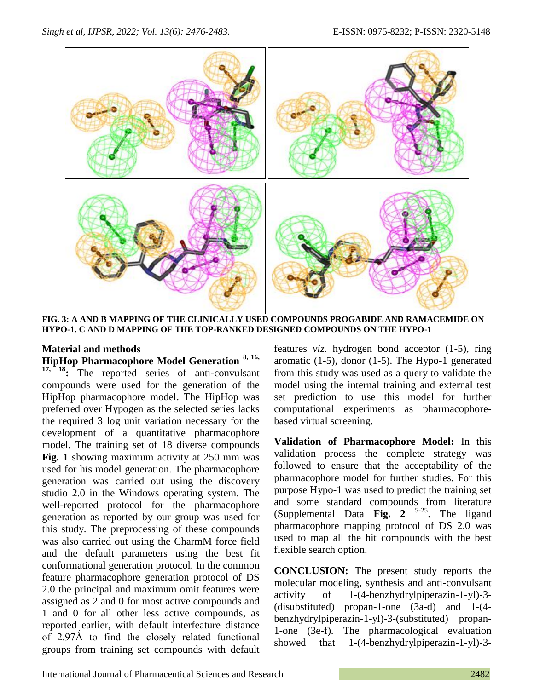

**FIG. 3: A AND B MAPPING OF THE CLINICALLY USED COMPOUNDS PROGABIDE AND RAMACEMIDE ON HYPO-1. C AND D MAPPING OF THE TOP-RANKED DESIGNED COMPOUNDS ON THE HYPO-1**

### **Material and methods**

**HipHop Pharmacophore Model Generation 8, 16, 17, 18:** The reported series of anti-convulsant compounds were used for the generation of the HipHop pharmacophore model. The HipHop was preferred over Hypogen as the selected series lacks the required 3 log unit variation necessary for the development of a quantitative pharmacophore model. The training set of 18 diverse compounds **Fig. 1** showing maximum activity at 250 mm was used for his model generation. The pharmacophore generation was carried out using the discovery studio 2.0 in the Windows operating system. The well-reported protocol for the pharmacophore generation as reported by our group was used for this study. The preprocessing of these compounds was also carried out using the CharmM force field and the default parameters using the best fit conformational generation protocol. In the common feature pharmacophore generation protocol of DS 2.0 the principal and maximum omit features were assigned as 2 and 0 for most active compounds and 1 and 0 for all other less active compounds, as reported earlier, with default interfeature distance of 2.97Å to find the closely related functional groups from training set compounds with default

features *viz*. hydrogen bond acceptor (1-5), ring aromatic (1-5), donor (1-5). The Hypo-1 generated from this study was used as a query to validate the model using the internal training and external test set prediction to use this model for further computational experiments as pharmacophorebased virtual screening.

**Validation of Pharmacophore Model:** In this validation process the complete strategy was followed to ensure that the acceptability of the pharmacophore model for further studies. For this purpose Hypo-1 was used to predict the training set and some standard compounds from literature (Supplemental Data **Fig. 2** 5-25. The ligand pharmacophore mapping protocol of DS 2.0 was used to map all the hit compounds with the best flexible search option.

**CONCLUSION:** The present study reports the molecular modeling, synthesis and anti-convulsant activity of 1-(4-benzhydrylpiperazin-1-yl)-3- (disubstituted) propan-1-one (3a-d) and 1-(4 benzhydrylpiperazin-1-yl)-3-(substituted) propan-1-one (3e-f). The pharmacological evaluation showed that 1-(4-benzhydrylpiperazin-1-yl)-3-